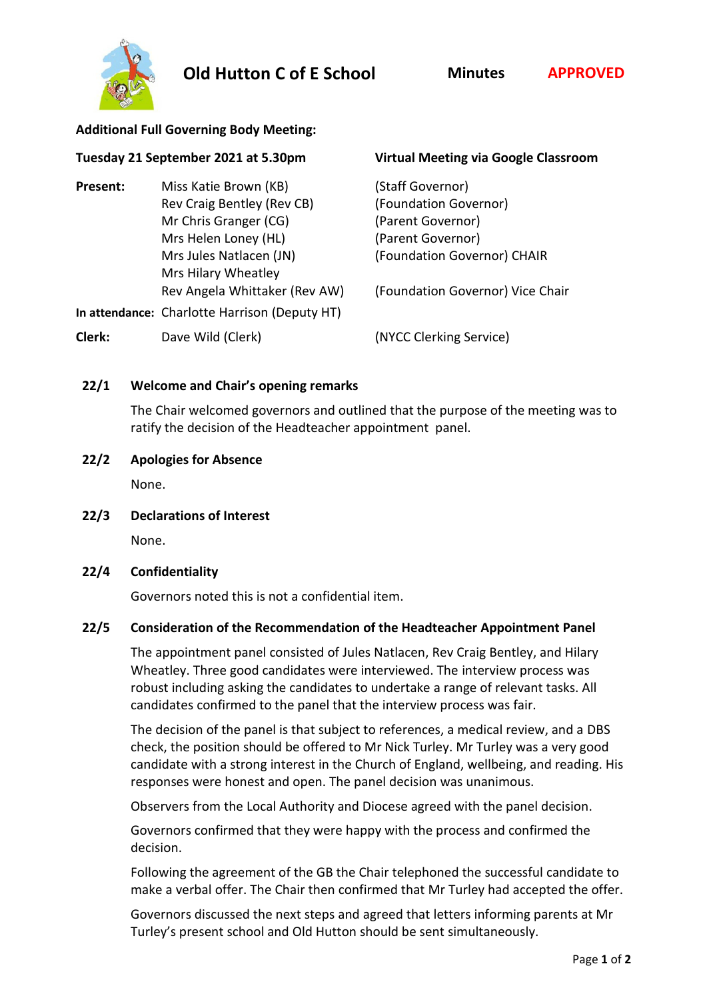



#### **Additional Full Governing Body Meeting:**

| Tuesday 21 September 2021 at 5.30pm |                                               | <b>Virtual Meeting via Google Classroom</b> |
|-------------------------------------|-----------------------------------------------|---------------------------------------------|
| Present:                            | Miss Katie Brown (KB)                         | (Staff Governor)                            |
|                                     | Rev Craig Bentley (Rev CB)                    | (Foundation Governor)                       |
|                                     | Mr Chris Granger (CG)                         | (Parent Governor)                           |
|                                     | Mrs Helen Loney (HL)                          | (Parent Governor)                           |
|                                     | Mrs Jules Natlacen (JN)                       | (Foundation Governor) CHAIR                 |
|                                     | Mrs Hilary Wheatley                           |                                             |
|                                     | Rev Angela Whittaker (Rev AW)                 | (Foundation Governor) Vice Chair            |
|                                     | In attendance: Charlotte Harrison (Deputy HT) |                                             |
| Clerk:                              | Dave Wild (Clerk)                             | (NYCC Clerking Service)                     |
|                                     |                                               |                                             |

## **22/1 Welcome and Chair's opening remarks**

The Chair welcomed governors and outlined that the purpose of the meeting was to ratify the decision of the Headteacher appointment panel.

### **22/2 Apologies for Absence**

None.

**22/3 Declarations of Interest**

None.

**22/4 Confidentiality**

Governors noted this is not a confidential item.

### **22/5 Consideration of the Recommendation of the Headteacher Appointment Panel**

The appointment panel consisted of Jules Natlacen, Rev Craig Bentley, and Hilary Wheatley. Three good candidates were interviewed. The interview process was robust including asking the candidates to undertake a range of relevant tasks. All candidates confirmed to the panel that the interview process was fair.

The decision of the panel is that subject to references, a medical review, and a DBS check, the position should be offered to Mr Nick Turley. Mr Turley was a very good candidate with a strong interest in the Church of England, wellbeing, and reading. His responses were honest and open. The panel decision was unanimous.

Observers from the Local Authority and Diocese agreed with the panel decision.

Governors confirmed that they were happy with the process and confirmed the decision.

Following the agreement of the GB the Chair telephoned the successful candidate to make a verbal offer. The Chair then confirmed that Mr Turley had accepted the offer.

Governors discussed the next steps and agreed that letters informing parents at Mr Turley's present school and Old Hutton should be sent simultaneously.